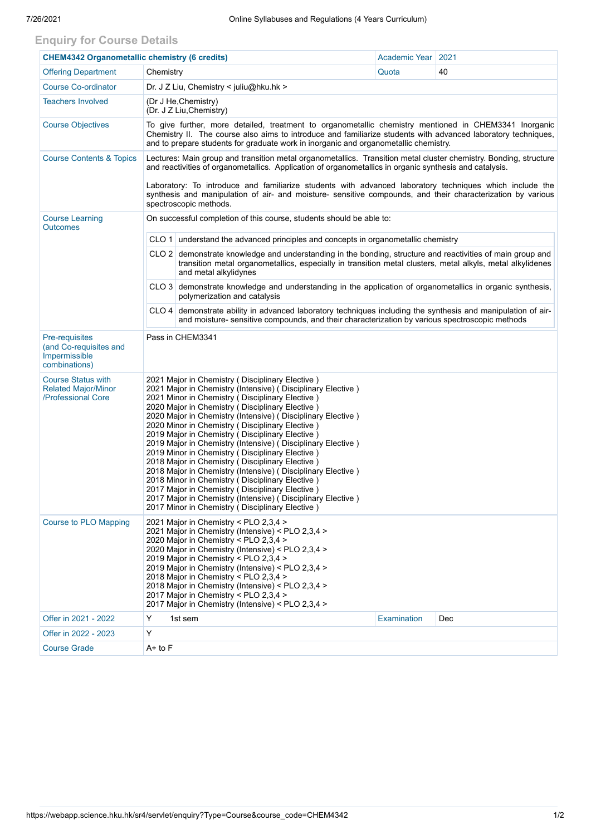## **Enquiry for Course Details**

| <b>CHEM4342 Organometallic chemistry (6 credits)</b>                              |                                                                                                                                                                                                                                                                                                                                                                                                                                                                                                                                                                                                                                                                                                                                                                                                                                                         | Academic Year   2021                                                                                                                                                                                             |                    |            |  |  |  |  |  |
|-----------------------------------------------------------------------------------|---------------------------------------------------------------------------------------------------------------------------------------------------------------------------------------------------------------------------------------------------------------------------------------------------------------------------------------------------------------------------------------------------------------------------------------------------------------------------------------------------------------------------------------------------------------------------------------------------------------------------------------------------------------------------------------------------------------------------------------------------------------------------------------------------------------------------------------------------------|------------------------------------------------------------------------------------------------------------------------------------------------------------------------------------------------------------------|--------------------|------------|--|--|--|--|--|
| <b>Offering Department</b>                                                        | Chemistry                                                                                                                                                                                                                                                                                                                                                                                                                                                                                                                                                                                                                                                                                                                                                                                                                                               |                                                                                                                                                                                                                  | Quota              | 40         |  |  |  |  |  |
| <b>Course Co-ordinator</b>                                                        | Dr. J Z Liu, Chemistry < juliu@hku.hk >                                                                                                                                                                                                                                                                                                                                                                                                                                                                                                                                                                                                                                                                                                                                                                                                                 |                                                                                                                                                                                                                  |                    |            |  |  |  |  |  |
| <b>Teachers Involved</b>                                                          | (Dr J He, Chemistry)<br>(Dr. J Z Liu, Chemistry)                                                                                                                                                                                                                                                                                                                                                                                                                                                                                                                                                                                                                                                                                                                                                                                                        |                                                                                                                                                                                                                  |                    |            |  |  |  |  |  |
| <b>Course Objectives</b>                                                          | To give further, more detailed, treatment to organometallic chemistry mentioned in CHEM3341 Inorganic<br>Chemistry II. The course also aims to introduce and familiarize students with advanced laboratory techniques,<br>and to prepare students for graduate work in inorganic and organometallic chemistry.                                                                                                                                                                                                                                                                                                                                                                                                                                                                                                                                          |                                                                                                                                                                                                                  |                    |            |  |  |  |  |  |
| <b>Course Contents &amp; Topics</b>                                               | Lectures: Main group and transition metal organometallics. Transition metal cluster chemistry. Bonding, structure<br>and reactivities of organometallics. Application of organometallics in organic synthesis and catalysis.                                                                                                                                                                                                                                                                                                                                                                                                                                                                                                                                                                                                                            |                                                                                                                                                                                                                  |                    |            |  |  |  |  |  |
|                                                                                   | Laboratory: To introduce and familiarize students with advanced laboratory techniques which include the<br>synthesis and manipulation of air- and moisture- sensitive compounds, and their characterization by various<br>spectroscopic methods.                                                                                                                                                                                                                                                                                                                                                                                                                                                                                                                                                                                                        |                                                                                                                                                                                                                  |                    |            |  |  |  |  |  |
| <b>Course Learning</b><br><b>Outcomes</b>                                         | On successful completion of this course, students should be able to:                                                                                                                                                                                                                                                                                                                                                                                                                                                                                                                                                                                                                                                                                                                                                                                    |                                                                                                                                                                                                                  |                    |            |  |  |  |  |  |
|                                                                                   |                                                                                                                                                                                                                                                                                                                                                                                                                                                                                                                                                                                                                                                                                                                                                                                                                                                         | CLO 1 understand the advanced principles and concepts in organometallic chemistry                                                                                                                                |                    |            |  |  |  |  |  |
|                                                                                   | CLO 2 demonstrate knowledge and understanding in the bonding, structure and reactivities of main group and<br>transition metal organometallics, especially in transition metal clusters, metal alkyls, metal alkylidenes<br>and metal alkylidynes                                                                                                                                                                                                                                                                                                                                                                                                                                                                                                                                                                                                       |                                                                                                                                                                                                                  |                    |            |  |  |  |  |  |
|                                                                                   |                                                                                                                                                                                                                                                                                                                                                                                                                                                                                                                                                                                                                                                                                                                                                                                                                                                         | CLO 3 demonstrate knowledge and understanding in the application of organometallics in organic synthesis,<br>polymerization and catalysis                                                                        |                    |            |  |  |  |  |  |
|                                                                                   |                                                                                                                                                                                                                                                                                                                                                                                                                                                                                                                                                                                                                                                                                                                                                                                                                                                         | $CLO$ 4 demonstrate ability in advanced laboratory techniques including the synthesis and manipulation of air-<br>and moisture- sensitive compounds, and their characterization by various spectroscopic methods |                    |            |  |  |  |  |  |
| <b>Pre-requisites</b><br>(and Co-requisites and<br>Impermissible<br>combinations) | Pass in CHEM3341                                                                                                                                                                                                                                                                                                                                                                                                                                                                                                                                                                                                                                                                                                                                                                                                                                        |                                                                                                                                                                                                                  |                    |            |  |  |  |  |  |
| <b>Course Status with</b><br><b>Related Major/Minor</b><br>/Professional Core     | 2021 Major in Chemistry (Disciplinary Elective)<br>2021 Major in Chemistry (Intensive) (Disciplinary Elective)<br>2021 Minor in Chemistry (Disciplinary Elective)<br>2020 Major in Chemistry (Disciplinary Elective)<br>2020 Major in Chemistry (Intensive) (Disciplinary Elective)<br>2020 Minor in Chemistry (Disciplinary Elective)<br>2019 Major in Chemistry (Disciplinary Elective)<br>2019 Major in Chemistry (Intensive) (Disciplinary Elective)<br>2019 Minor in Chemistry (Disciplinary Elective)<br>2018 Major in Chemistry ( Disciplinary Elective )<br>2018 Major in Chemistry (Intensive) (Disciplinary Elective)<br>2018 Minor in Chemistry (Disciplinary Elective)<br>2017 Major in Chemistry (Disciplinary Elective)<br>2017 Major in Chemistry (Intensive) (Disciplinary Elective)<br>2017 Minor in Chemistry (Disciplinary Elective) |                                                                                                                                                                                                                  |                    |            |  |  |  |  |  |
| <b>Course to PLO Mapping</b>                                                      | 2021 Major in Chemistry < PLO 2,3,4 ><br>2021 Major in Chemistry (Intensive) < PLO 2,3,4 ><br>2020 Major in Chemistry < PLO 2,3,4 ><br>2020 Major in Chemistry (Intensive) < PLO 2,3,4 ><br>2019 Major in Chemistry < PLO 2,3,4 ><br>2019 Major in Chemistry (Intensive) < PLO 2,3,4 ><br>2018 Major in Chemistry < PLO 2,3,4 ><br>2018 Major in Chemistry (Intensive) < PLO 2,3,4 ><br>2017 Major in Chemistry < PLO 2,3,4 ><br>2017 Major in Chemistry (Intensive) < PLO 2,3,4 >                                                                                                                                                                                                                                                                                                                                                                      |                                                                                                                                                                                                                  |                    |            |  |  |  |  |  |
| Offer in 2021 - 2022                                                              | Y                                                                                                                                                                                                                                                                                                                                                                                                                                                                                                                                                                                                                                                                                                                                                                                                                                                       | 1st sem                                                                                                                                                                                                          | <b>Examination</b> | <b>Dec</b> |  |  |  |  |  |
| Offer in 2022 - 2023                                                              | Y                                                                                                                                                                                                                                                                                                                                                                                                                                                                                                                                                                                                                                                                                                                                                                                                                                                       |                                                                                                                                                                                                                  |                    |            |  |  |  |  |  |
| <b>Course Grade</b>                                                               | $A+$ to $F$                                                                                                                                                                                                                                                                                                                                                                                                                                                                                                                                                                                                                                                                                                                                                                                                                                             |                                                                                                                                                                                                                  |                    |            |  |  |  |  |  |